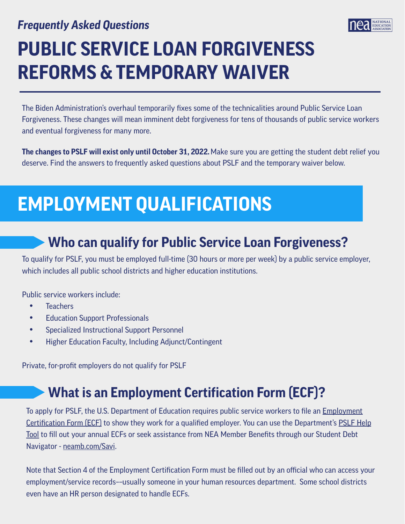#### *Frequently Asked Questions*



# **PUBLIC SERVICE LOAN FORGIVENESS REFORMS & TEMPORARY WAIVER**

The Biden Administration's overhaul temporarily fixes some of the technicalities around Public Service Loan Forgiveness. These changes will mean imminent debt forgiveness for tens of thousands of public service workers and eventual forgiveness for many more.

**The changes to PSLF will exist only until October 31, 2022.**Make sure you are getting the student debt relief you deserve. Find the answers to frequently asked questions about PSLF and the temporary waiver below.

## **EMPLOYMENT QUALIFICATIONS**

### **Who can qualify for Public Service Loan Forgiveness?**

To qualify for PSLF, you must be employed full-time (30 hours or more per week) by a public service employer, which includes all public school districts and higher education institutions.

Public service workers include:

- Teachers
- Education Support Professionals
- Specialized Instructional Support Personnel
- Higher Education Faculty, Including Adjunct/Contingent

Private, for-profit employers do not qualify for PSLF

### **What is an Employment Certification Form (ECF)?**

To apply for PSLF, the U.S. Department of Education requires public service workers to file an *Employment* Certifi[cation Form \(ECF\)](https://studentaid.gov/sites/default/files/public-service-application-for-forgiveness.pdf) to show they work for a qualified employer. You can use the Department's [PSLF Help](https://studentaid.gov/pslf/)  [Tool](https://studentaid.gov/pslf/) to fill out your annual ECFs or seek assistance from NEA Member Benefits through our Student Debt Navigator - [neamb.com/Savi.](https://neamb.com/Savi)

Note that Section 4 of the Employment Certification Form must be filled out by an official who can access your employment/service records––usually someone in your human resources department. Some school districts even have an HR person designated to handle ECFs.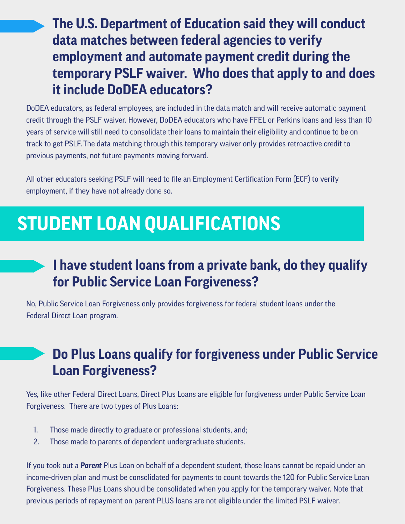**The U.S. Department of Education said they will conduct data matches between federal agencies to verify employment and automate payment credit during the temporary PSLF waiver. Who does that apply to and does it include DoDEA educators?** 

DoDEA educators, as federal employees, are included in the data match and will receive automatic payment credit through the PSLF waiver. However, DoDEA educators who have FFEL or Perkins loans and less than 10 years of service will still need to consolidate their loans to maintain their eligibility and continue to be on track to get PSLF. The data matching through this temporary waiver only provides retroactive credit to previous payments, not future payments moving forward.

All other educators seeking PSLF will need to file an Employment Certification Form (ECF) to verify employment, if they have not already done so.

### **STUDENT LOAN QUALIFICATIONS**

#### **I have student loans from a private bank, do they qualify for Public Service Loan Forgiveness?**

No, Public Service Loan Forgiveness only provides forgiveness for federal student loans under the Federal Direct Loan program.

### **Do Plus Loans qualify for forgiveness under Public Service Loan Forgiveness?**

Yes, like other Federal Direct Loans, Direct Plus Loans are eligible for forgiveness under Public Service Loan Forgiveness. There are two types of Plus Loans:

- 1. Those made directly to graduate or professional students, and;
- 2. Those made to parents of dependent undergraduate students.

If you took out a *Parent* Plus Loan on behalf of a dependent student, those loans cannot be repaid under an income-driven plan and must be consolidated for payments to count towards the 120 for Public Service Loan Forgiveness. These Plus Loans should be consolidated when you apply for the temporary waiver. Note that previous periods of repayment on parent PLUS loans are not eligible under the limited PSLF waiver.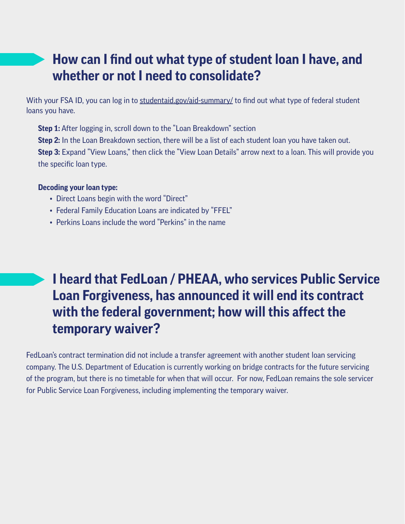#### **How can I find out what type of student loan I have, and whether or not I need to consolidate?**

With your FSA ID, you can log in to [studentaid.gov/aid-summary/](https://studentaid.gov/aid-summary/) to find out what type of federal student loans you have.

**Step 1:** After logging in, scroll down to the "Loan Breakdown" section **Step 2:** In the Loan Breakdown section, there will be a list of each student loan you have taken out. **Step 3:** Expand "View Loans," then click the "View Loan Details" arrow next to a loan. This will provide you the specific loan type.

#### **Decoding your loan type:**

- Direct Loans begin with the word "Direct"
- Federal Family Education Loans are indicated by "FFEL"
- Perkins Loans include the word "Perkins" in the name

### **I heard that FedLoan / PHEAA, who services Public Service Loan Forgiveness, has announced it will end its contract with the federal government; how will this affect the temporary waiver?**

FedLoan's contract termination did not include a transfer agreement with another student loan servicing company. The U.S. Department of Education is currently working on bridge contracts for the future servicing of the program, but there is no timetable for when that will occur. For now, FedLoan remains the sole servicer for Public Service Loan Forgiveness, including implementing the temporary waiver.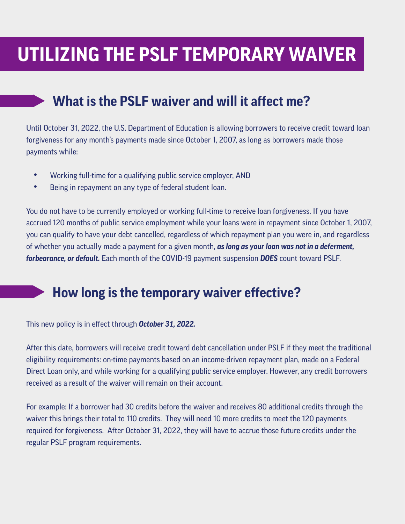### **UTILIZING THE PSLF TEMPORARY WAIVER**

#### **What is the PSLF waiver and will it affect me?**

Until October 31, 2022, the U.S. Department of Education is allowing borrowers to receive credit toward loan forgiveness for any month's payments made since October 1, 2007, as long as borrowers made those payments while:

- Working full-time for a qualifying public service employer, AND
- Being in repayment on any type of federal student loan.

You do not have to be currently employed or working full-time to receive loan forgiveness. If you have accrued 120 months of public service employment while your loans were in repayment since October 1, 2007, you can qualify to have your debt cancelled, regardless of which repayment plan you were in, and regardless of whether you actually made a payment for a given month, *as long as your loan was not in a deferment, forbearance, or default.* Each month of the COVID-19 payment suspension *DOES* count toward PSLF.

#### **How long is the temporary waiver effective?**

This new policy is in effect through *October 31, 2022.*

After this date, borrowers will receive credit toward debt cancellation under PSLF if they meet the traditional eligibility requirements: on-time payments based on an income-driven repayment plan, made on a Federal Direct Loan only, and while working for a qualifying public service employer. However, any credit borrowers received as a result of the waiver will remain on their account.

For example: If a borrower had 30 credits before the waiver and receives 80 additional credits through the waiver this brings their total to 110 credits. They will need 10 more credits to meet the 120 payments required for forgiveness. After October 31, 2022, they will have to accrue those future credits under the regular PSLF program requirements.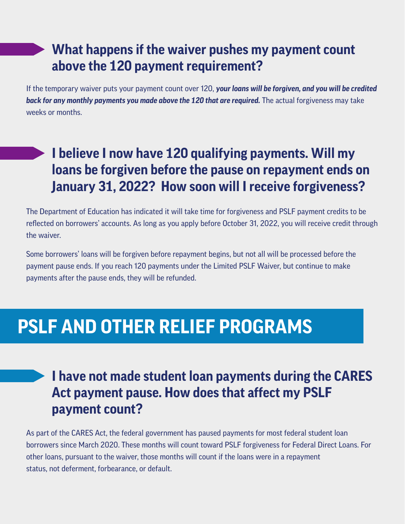#### **What happens if the waiver pushes my payment count above the 120 payment requirement?**

If the temporary waiver puts your payment count over 120, *your loans will be forgiven, and you will be credited back for any monthly payments you made above the 120 that are required.* The actual forgiveness may take weeks or months.

#### **I believe I now have 120 qualifying payments. Will my loans be forgiven before the pause on repayment ends on January 31, 2022? How soon will I receive forgiveness?**

The Department of Education has indicated it will take time for forgiveness and PSLF payment credits to be reflected on borrowers' accounts. As long as you apply before October 31, 2022, you will receive credit through the waiver.

Some borrowers' loans will be forgiven before repayment begins, but not all will be processed before the payment pause ends. If you reach 120 payments under the Limited PSLF Waiver, but continue to make payments after the pause ends, they will be refunded.

### **PSLF AND OTHER RELIEF PROGRAMS**

#### **I have not made student loan payments during the CARES Act payment pause. How does that affect my PSLF payment count?**

As part of the CARES Act, the federal government has paused payments for most federal student loan borrowers since March 2020. These months will count toward PSLF forgiveness for Federal Direct Loans. For other loans, pursuant to the waiver, those months will count if the loans were in a repayment status, not deferment, forbearance, or default.